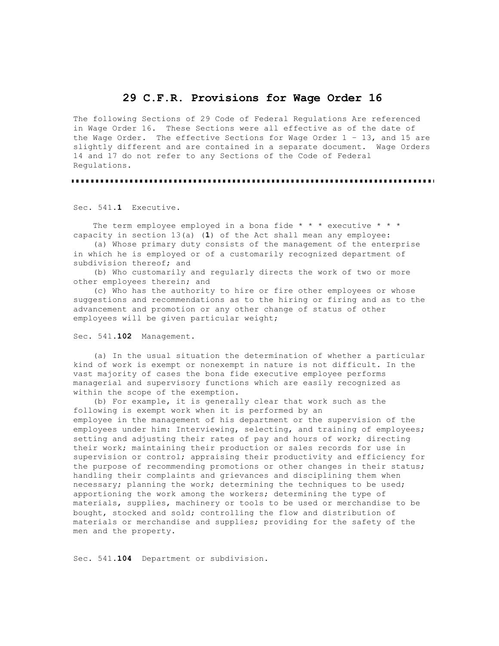## **29 C.F.R. Provisions for Wage Order 16**

The following Sections of 29 Code of Federal Regulations Are referenced in Wage Order 16. These Sections were all effective as of the date of the Wage Order. The effective Sections for Wage Order  $1 - 13$ , and 15 are slightly different and are contained in a separate document. Wage Orders 14 and 17 do not refer to any Sections of the Code of Federal Regulations.

Sec. 541.**1** Executive.

The term employee employed in a bona fide  $* * *$  executive  $* * *$ capacity in section 13(a) (**1**) of the Act shall mean any employee:

 (a) Whose primary duty consists of the management of the enterprise in which he is employed or of a customarily recognized department of subdivision thereof; and

 (b) Who customarily and regularly directs the work of two or more other employees therein; and

 (c) Who has the authority to hire or fire other employees or whose suggestions and recommendations as to the hiring or firing and as to the advancement and promotion or any other change of status of other employees will be given particular weight;

Sec. 541.**102** Management.

 (a) In the usual situation the determination of whether a particular kind of work is exempt or nonexempt in nature is not difficult. In the vast majority of cases the bona fide executive employee performs managerial and supervisory functions which are easily recognized as within the scope of the exemption.

 (b) For example, it is generally clear that work such as the following is exempt work when it is performed by an employee in the management of his department or the supervision of the employees under him: Interviewing, selecting, and training of employees; setting and adjusting their rates of pay and hours of work; directing their work; maintaining their production or sales records for use in supervision or control; appraising their productivity and efficiency for the purpose of recommending promotions or other changes in their status; handling their complaints and grievances and disciplining them when necessary; planning the work; determining the techniques to be used; apportioning the work among the workers; determining the type of materials, supplies, machinery or tools to be used or merchandise to be bought, stocked and sold; controlling the flow and distribution of materials or merchandise and supplies; providing for the safety of the men and the property.

Sec. 541.**104** Department or subdivision.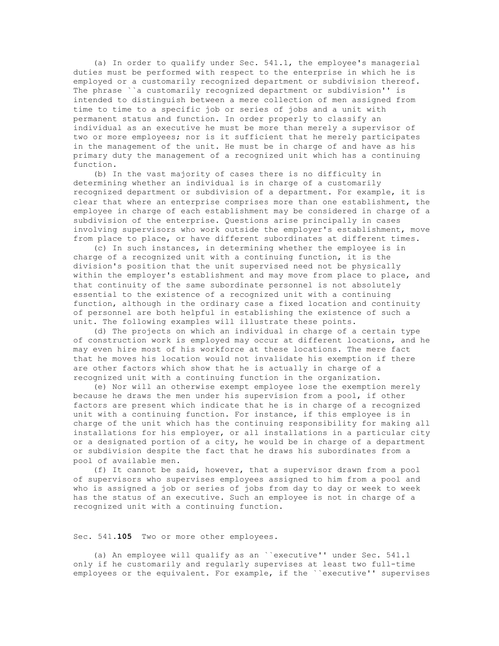(a) In order to qualify under Sec. 541.1, the employee's managerial duties must be performed with respect to the enterprise in which he is employed or a customarily recognized department or subdivision thereof. The phrase ``a customarily recognized department or subdivision'' is intended to distinguish between a mere collection of men assigned from time to time to a specific job or series of jobs and a unit with permanent status and function. In order properly to classify an individual as an executive he must be more than merely a supervisor of two or more employees; nor is it sufficient that he merely participates in the management of the unit. He must be in charge of and have as his primary duty the management of a recognized unit which has a continuing function.

 (b) In the vast majority of cases there is no difficulty in determining whether an individual is in charge of a customarily recognized department or subdivision of a department. For example, it is clear that where an enterprise comprises more than one establishment, the employee in charge of each establishment may be considered in charge of a subdivision of the enterprise. Questions arise principally in cases involving supervisors who work outside the employer's establishment, move from place to place, or have different subordinates at different times.

 (c) In such instances, in determining whether the employee is in charge of a recognized unit with a continuing function, it is the division's position that the unit supervised need not be physically within the employer's establishment and may move from place to place, and that continuity of the same subordinate personnel is not absolutely essential to the existence of a recognized unit with a continuing function, although in the ordinary case a fixed location and continuity of personnel are both helpful in establishing the existence of such a unit. The following examples will illustrate these points.

 (d) The projects on which an individual in charge of a certain type of construction work is employed may occur at different locations, and he may even hire most of his workforce at these locations. The mere fact that he moves his location would not invalidate his exemption if there are other factors which show that he is actually in charge of a recognized unit with a continuing function in the organization.

 (e) Nor will an otherwise exempt employee lose the exemption merely because he draws the men under his supervision from a pool, if other factors are present which indicate that he is in charge of a recognized unit with a continuing function. For instance, if this employee is in charge of the unit which has the continuing responsibility for making all installations for his employer, or all installations in a particular city or a designated portion of a city, he would be in charge of a department or subdivision despite the fact that he draws his subordinates from a pool of available men.

 (f) It cannot be said, however, that a supervisor drawn from a pool of supervisors who supervises employees assigned to him from a pool and who is assigned a job or series of jobs from day to day or week to week has the status of an executive. Such an employee is not in charge of a recognized unit with a continuing function.

## Sec. 541.**105** Two or more other employees.

 (a) An employee will qualify as an ``executive'' under Sec. 541.1 only if he customarily and regularly supervises at least two full-time employees or the equivalent. For example, if the ``executive'' supervises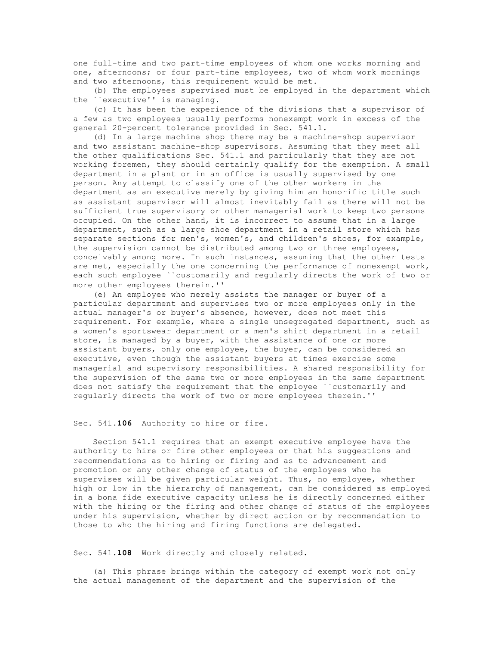one full-time and two part-time employees of whom one works morning and one, afternoons; or four part-time employees, two of whom work mornings and two afternoons, this requirement would be met.

 (b) The employees supervised must be employed in the department which the ``executive'' is managing.

 (c) It has been the experience of the divisions that a supervisor of a few as two employees usually performs nonexempt work in excess of the general 20-percent tolerance provided in Sec. 541.1.

 (d) In a large machine shop there may be a machine-shop supervisor and two assistant machine-shop supervisors. Assuming that they meet all the other qualifications Sec. 541.1 and particularly that they are not working foremen, they should certainly qualify for the exemption. A small department in a plant or in an office is usually supervised by one person. Any attempt to classify one of the other workers in the department as an executive merely by giving him an honorific title such as assistant supervisor will almost inevitably fail as there will not be sufficient true supervisory or other managerial work to keep two persons occupied. On the other hand, it is incorrect to assume that in a large department, such as a large shoe department in a retail store which has separate sections for men's, women's, and children's shoes, for example, the supervision cannot be distributed among two or three employees, conceivably among more. In such instances, assuming that the other tests are met, especially the one concerning the performance of nonexempt work, each such employee ``customarily and regularly directs the work of two or more other employees therein.''

 (e) An employee who merely assists the manager or buyer of a particular department and supervises two or more employees only in the actual manager's or buyer's absence, however, does not meet this requirement. For example, where a single unsegregated department, such as a women's sportswear department or a men's shirt department in a retail store, is managed by a buyer, with the assistance of one or more assistant buyers, only one employee, the buyer, can be considered an executive, even though the assistant buyers at times exercise some managerial and supervisory responsibilities. A shared responsibility for the supervision of the same two or more employees in the same department does not satisfy the requirement that the employee ``customarily and regularly directs the work of two or more employees therein.''

Sec. 541.**106** Authority to hire or fire.

 Section 541.1 requires that an exempt executive employee have the authority to hire or fire other employees or that his suggestions and recommendations as to hiring or firing and as to advancement and promotion or any other change of status of the employees who he supervises will be given particular weight. Thus, no employee, whether high or low in the hierarchy of management, can be considered as employed in a bona fide executive capacity unless he is directly concerned either with the hiring or the firing and other change of status of the employees under his supervision, whether by direct action or by recommendation to those to who the hiring and firing functions are delegated.

Sec. 541.**108** Work directly and closely related.

 (a) This phrase brings within the category of exempt work not only the actual management of the department and the supervision of the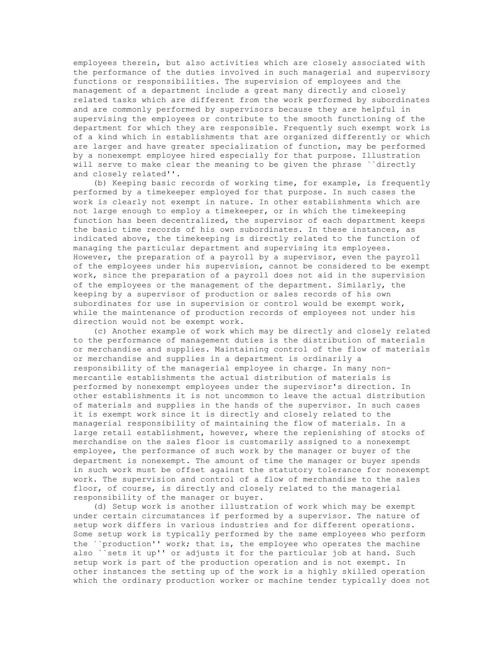employees therein, but also activities which are closely associated with the performance of the duties involved in such managerial and supervisory functions or responsibilities. The supervision of employees and the management of a department include a great many directly and closely related tasks which are different from the work performed by subordinates and are commonly performed by supervisors because they are helpful in supervising the employees or contribute to the smooth functioning of the department for which they are responsible. Frequently such exempt work is of a kind which in establishments that are organized differently or which are larger and have greater specialization of function, may be performed by a nonexempt employee hired especially for that purpose. Illustration will serve to make clear the meaning to be given the phrase ``directly and closely related''.

 (b) Keeping basic records of working time, for example, is frequently performed by a timekeeper employed for that purpose. In such cases the work is clearly not exempt in nature. In other establishments which are not large enough to employ a timekeeper, or in which the timekeeping function has been decentralized, the supervisor of each department keeps the basic time records of his own subordinates. In these instances, as indicated above, the timekeeping is directly related to the function of managing the particular department and supervising its employees. However, the preparation of a payroll by a supervisor, even the payroll of the employees under his supervision, cannot be considered to be exempt work, since the preparation of a payroll does not aid in the supervision of the employees or the management of the department. Similarly, the keeping by a supervisor of production or sales records of his own subordinates for use in supervision or control would be exempt work, while the maintenance of production records of employees not under his direction would not be exempt work.

 (c) Another example of work which may be directly and closely related to the performance of management duties is the distribution of materials or merchandise and supplies. Maintaining control of the flow of materials or merchandise and supplies in a department is ordinarily a responsibility of the managerial employee in charge. In many nonmercantile establishments the actual distribution of materials is performed by nonexempt employees under the supervisor's direction. In other establishments it is not uncommon to leave the actual distribution of materials and supplies in the hands of the supervisor. In such cases it is exempt work since it is directly and closely related to the managerial responsibility of maintaining the flow of materials. In a large retail establishment, however, where the replenishing of stocks of merchandise on the sales floor is customarily assigned to a nonexempt employee, the performance of such work by the manager or buyer of the department is nonexempt. The amount of time the manager or buyer spends in such work must be offset against the statutory tolerance for nonexempt work. The supervision and control of a flow of merchandise to the sales floor, of course, is directly and closely related to the managerial responsibility of the manager or buyer.

 (d) Setup work is another illustration of work which may be exempt under certain circumstances if performed by a supervisor. The nature of setup work differs in various industries and for different operations. Some setup work is typically performed by the same employees who perform the ``production'' work; that is, the employee who operates the machine also ``sets it up'' or adjusts it for the particular job at hand. Such setup work is part of the production operation and is not exempt. In other instances the setting up of the work is a highly skilled operation which the ordinary production worker or machine tender typically does not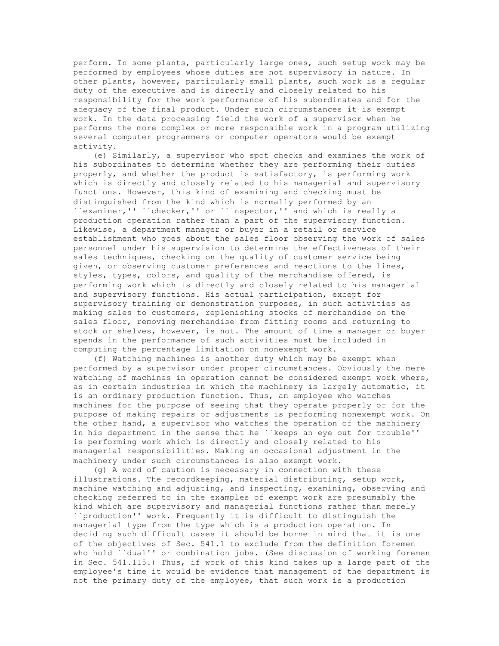perform. In some plants, particularly large ones, such setup work may be performed by employees whose duties are not supervisory in nature. In other plants, however, particularly small plants, such work is a regular duty of the executive and is directly and closely related to his responsibility for the work performance of his subordinates and for the adequacy of the final product. Under such circumstances it is exempt work. In the data processing field the work of a supervisor when he performs the more complex or more responsible work in a program utilizing several computer programmers or computer operators would be exempt activity.

 (e) Similarly, a supervisor who spot checks and examines the work of his subordinates to determine whether they are performing their duties properly, and whether the product is satisfactory, is performing work which is directly and closely related to his managerial and supervisory functions. However, this kind of examining and checking must be distinguished from the kind which is normally performed by an ``examiner,'' ``checker,'' or ``inspector,'' and which is really a production operation rather than a part of the supervisory function. Likewise, a department manager or buyer in a retail or service establishment who goes about the sales floor observing the work of sales personnel under his supervision to determine the effectiveness of their sales techniques, checking on the quality of customer service being given, or observing customer preferences and reactions to the lines, styles, types, colors, and quality of the merchandise offered, is performing work which is directly and closely related to his managerial and supervisory functions. His actual participation, except for supervisory training or demonstration purposes, in such activities as making sales to customers, replenishing stocks of merchandise on the sales floor, removing merchandise from fitting rooms and returning to stock or shelves, however, is not. The amount of time a manager or buyer spends in the performance of such activities must be included in computing the percentage limitation on nonexempt work.

 (f) Watching machines is another duty which may be exempt when performed by a supervisor under proper circumstances. Obviously the mere watching of machines in operation cannot be considered exempt work where, as in certain industries in which the machinery is largely automatic, it is an ordinary production function. Thus, an employee who watches machines for the purpose of seeing that they operate properly or for the purpose of making repairs or adjustments is performing nonexempt work. On the other hand, a supervisor who watches the operation of the machinery in his department in the sense that he ``keeps an eye out for trouble'' is performing work which is directly and closely related to his managerial responsibilities. Making an occasional adjustment in the machinery under such circumstances is also exempt work.

 (g) A word of caution is necessary in connection with these illustrations. The recordkeeping, material distributing, setup work, machine watching and adjusting, and inspecting, examining, observing and checking referred to in the examples of exempt work are presumably the kind which are supervisory and managerial functions rather than merely ``production'' work. Frequently it is difficult to distinguish the managerial type from the type which is a production operation. In deciding such difficult cases it should be borne in mind that it is one of the objectives of Sec. 541.1 to exclude from the definition foremen who hold ``dual'' or combination jobs. (See discussion of working foremen in Sec. 541.115.) Thus, if work of this kind takes up a large part of the employee's time it would be evidence that management of the department is not the primary duty of the employee, that such work is a production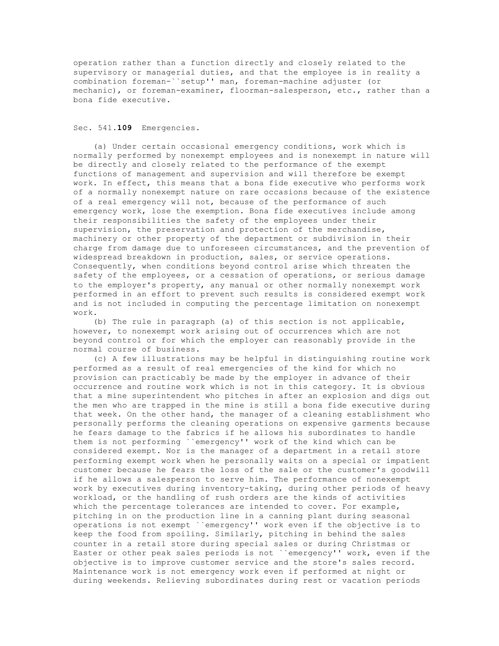operation rather than a function directly and closely related to the supervisory or managerial duties, and that the employee is in reality a combination foreman-``setup'' man, foreman-machine adjuster (or mechanic), or foreman-examiner, floorman-salesperson, etc., rather than a bona fide executive.

## Sec. 541.**109** Emergencies.

 (a) Under certain occasional emergency conditions, work which is normally performed by nonexempt employees and is nonexempt in nature will be directly and closely related to the performance of the exempt functions of management and supervision and will therefore be exempt work. In effect, this means that a bona fide executive who performs work of a normally nonexempt nature on rare occasions because of the existence of a real emergency will not, because of the performance of such emergency work, lose the exemption. Bona fide executives include among their responsibilities the safety of the employees under their supervision, the preservation and protection of the merchandise, machinery or other property of the department or subdivision in their charge from damage due to unforeseen circumstances, and the prevention of widespread breakdown in production, sales, or service operations. Consequently, when conditions beyond control arise which threaten the safety of the employees, or a cessation of operations, or serious damage to the employer's property, any manual or other normally nonexempt work performed in an effort to prevent such results is considered exempt work and is not included in computing the percentage limitation on nonexempt work.

 (b) The rule in paragraph (a) of this section is not applicable, however, to nonexempt work arising out of occurrences which are not beyond control or for which the employer can reasonably provide in the normal course of business.

 (c) A few illustrations may be helpful in distinguishing routine work performed as a result of real emergencies of the kind for which no provision can practicably be made by the employer in advance of their occurrence and routine work which is not in this category. It is obvious that a mine superintendent who pitches in after an explosion and digs out the men who are trapped in the mine is still a bona fide executive during that week. On the other hand, the manager of a cleaning establishment who personally performs the cleaning operations on expensive garments because he fears damage to the fabrics if he allows his subordinates to handle them is not performing ``emergency'' work of the kind which can be considered exempt. Nor is the manager of a department in a retail store performing exempt work when he personally waits on a special or impatient customer because he fears the loss of the sale or the customer's goodwill if he allows a salesperson to serve him. The performance of nonexempt work by executives during inventory-taking, during other periods of heavy workload, or the handling of rush orders are the kinds of activities which the percentage tolerances are intended to cover. For example, pitching in on the production line in a canning plant during seasonal operations is not exempt ``emergency'' work even if the objective is to keep the food from spoiling. Similarly, pitching in behind the sales counter in a retail store during special sales or during Christmas or Easter or other peak sales periods is not ``emergency'' work, even if the objective is to improve customer service and the store's sales record. Maintenance work is not emergency work even if performed at night or during weekends. Relieving subordinates during rest or vacation periods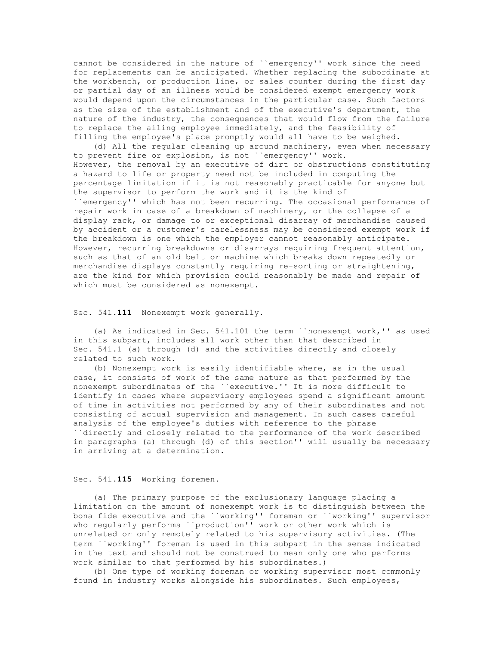cannot be considered in the nature of ``emergency'' work since the need for replacements can be anticipated. Whether replacing the subordinate at the workbench, or production line, or sales counter during the first day or partial day of an illness would be considered exempt emergency work would depend upon the circumstances in the particular case. Such factors as the size of the establishment and of the executive's department, the nature of the industry, the consequences that would flow from the failure to replace the ailing employee immediately, and the feasibility of filling the employee's place promptly would all have to be weighed.

 (d) All the regular cleaning up around machinery, even when necessary to prevent fire or explosion, is not ``emergency'' work. However, the removal by an executive of dirt or obstructions constituting a hazard to life or property need not be included in computing the percentage limitation if it is not reasonably practicable for anyone but the supervisor to perform the work and it is the kind of ``emergency'' which has not been recurring. The occasional performance of repair work in case of a breakdown of machinery, or the collapse of a display rack, or damage to or exceptional disarray of merchandise caused by accident or a customer's carelessness may be considered exempt work if the breakdown is one which the employer cannot reasonably anticipate. However, recurring breakdowns or disarrays requiring frequent attention, such as that of an old belt or machine which breaks down repeatedly or merchandise displays constantly requiring re-sorting or straightening, are the kind for which provision could reasonably be made and repair of which must be considered as nonexempt.

Sec. 541.**111** Nonexempt work generally.

 (a) As indicated in Sec. 541.101 the term ``nonexempt work,'' as used in this subpart, includes all work other than that described in Sec. 541.1 (a) through (d) and the activities directly and closely related to such work.

 (b) Nonexempt work is easily identifiable where, as in the usual case, it consists of work of the same nature as that performed by the nonexempt subordinates of the ``executive.'' It is more difficult to identify in cases where supervisory employees spend a significant amount of time in activities not performed by any of their subordinates and not consisting of actual supervision and management. In such cases careful analysis of the employee's duties with reference to the phrase ``directly and closely related to the performance of the work described in paragraphs (a) through (d) of this section'' will usually be necessary in arriving at a determination.

## Sec. 541.**115** Working foremen.

 (a) The primary purpose of the exclusionary language placing a limitation on the amount of nonexempt work is to distinguish between the bona fide executive and the ``working'' foreman or ``working'' supervisor who regularly performs ``production'' work or other work which is unrelated or only remotely related to his supervisory activities. (The term ``working'' foreman is used in this subpart in the sense indicated in the text and should not be construed to mean only one who performs work similar to that performed by his subordinates.)

 (b) One type of working foreman or working supervisor most commonly found in industry works alongside his subordinates. Such employees,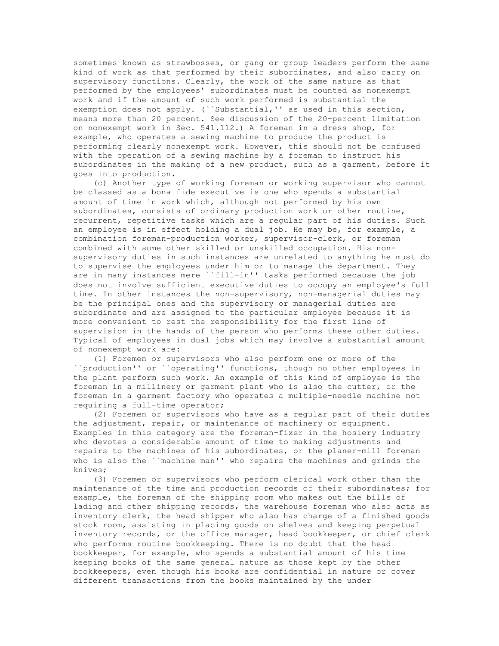sometimes known as strawbosses, or gang or group leaders perform the same kind of work as that performed by their subordinates, and also carry on supervisory functions. Clearly, the work of the same nature as that performed by the employees' subordinates must be counted as nonexempt work and if the amount of such work performed is substantial the exemption does not apply. (``Substantial,'' as used in this section, means more than 20 percent. See discussion of the 20-percent limitation on nonexempt work in Sec. 541.112.) A foreman in a dress shop, for example, who operates a sewing machine to produce the product is performing clearly nonexempt work. However, this should not be confused with the operation of a sewing machine by a foreman to instruct his subordinates in the making of a new product, such as a garment, before it goes into production.

 (c) Another type of working foreman or working supervisor who cannot be classed as a bona fide executive is one who spends a substantial amount of time in work which, although not performed by his own subordinates, consists of ordinary production work or other routine, recurrent, repetitive tasks which are a regular part of his duties. Such an employee is in effect holding a dual job. He may be, for example, a combination foreman-production worker, supervisor-clerk, or foreman combined with some other skilled or unskilled occupation. His nonsupervisory duties in such instances are unrelated to anything he must do to supervise the employees under him or to manage the department. They are in many instances mere ``fill-in'' tasks performed because the job does not involve sufficient executive duties to occupy an employee's full time. In other instances the non-supervisory, non-managerial duties may be the principal ones and the supervisory or managerial duties are subordinate and are assigned to the particular employee because it is more convenient to rest the responsibility for the first line of supervision in the hands of the person who performs these other duties. Typical of employees in dual jobs which may involve a substantial amount of nonexempt work are:

 (1) Foremen or supervisors who also perform one or more of the ``production'' or ``operating'' functions, though no other employees in the plant perform such work. An example of this kind of employee is the foreman in a millinery or garment plant who is also the cutter, or the foreman in a garment factory who operates a multiple-needle machine not requiring a full-time operator;

 (2) Foremen or supervisors who have as a regular part of their duties the adjustment, repair, or maintenance of machinery or equipment. Examples in this category are the foreman-fixer in the hosiery industry who devotes a considerable amount of time to making adjustments and repairs to the machines of his subordinates, or the planer-mill foreman who is also the ``machine man'' who repairs the machines and grinds the knives;

 (3) Foremen or supervisors who perform clerical work other than the maintenance of the time and production records of their subordinates; for example, the foreman of the shipping room who makes out the bills of lading and other shipping records, the warehouse foreman who also acts as inventory clerk, the head shipper who also has charge of a finished goods stock room, assisting in placing goods on shelves and keeping perpetual inventory records, or the office manager, head bookkeeper, or chief clerk who performs routine bookkeeping. There is no doubt that the head bookkeeper, for example, who spends a substantial amount of his time keeping books of the same general nature as those kept by the other bookkeepers, even though his books are confidential in nature or cover different transactions from the books maintained by the under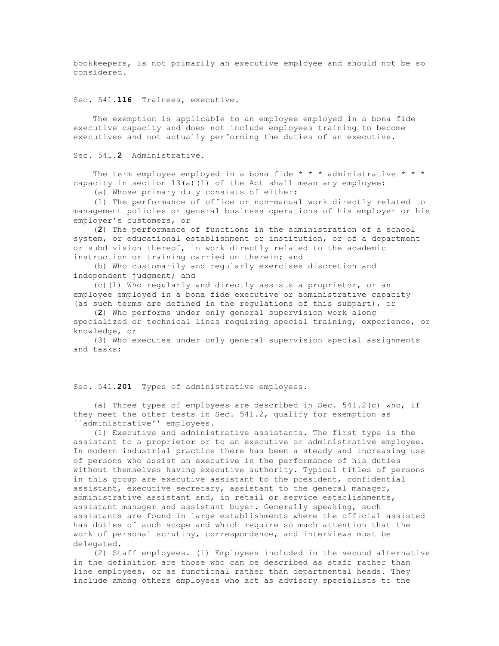bookkeepers, is not primarily an executive employee and should not be so considered.

Sec. 541.**116** Trainees, executive.

 The exemption is applicable to an employee employed in a bona fide executive capacity and does not include employees training to become executives and not actually performing the duties of an executive.

Sec. 541.**2** Administrative.

The term employee employed in a bona fide \* \* \* administrative \* \* \* capacity in section  $13(a)(1)$  of the Act shall mean any employee:

(a) Whose primary duty consists of either:

 (1) The performance of office or non-manual work directly related to management policies or general business operations of his employer or his employer's customers, or

 (**2**) The performance of functions in the administration of a school system, or educational establishment or institution, or of a department or subdivision thereof, in work directly related to the academic instruction or training carried on therein; and

 (b) Who customarily and regularly exercises discretion and independent judgment; and

 (c)(1) Who regularly and directly assists a proprietor, or an employee employed in a bona fide executive or administrative capacity (as such terms are defined in the regulations of this subpart), or

 (**2**) Who performs under only general supervision work along specialized or technical lines requiring special training, experience, or knowledge, or

 (3) Who executes under only general supervision special assignments and tasks;

Sec. 541.**201** Types of administrative employees.

 (a) Three types of employees are described in Sec. 541.2(c) who, if they meet the other tests in Sec. 541.2, qualify for exemption as ``administrative'' employees.

 (1) Executive and administrative assistants. The first type is the assistant to a proprietor or to an executive or administrative employee. In modern industrial practice there has been a steady and increasing use of persons who assist an executive in the performance of his duties without themselves having executive authority. Typical titles of persons in this group are executive assistant to the president, confidential assistant, executive secretary, assistant to the general manager, administrative assistant and, in retail or service establishments, assistant manager and assistant buyer. Generally speaking, such assistants are found in large establishments where the official assisted has duties of such scope and which require so much attention that the work of personal scrutiny, correspondence, and interviews must be delegated.

 (2) Staff employees. (i) Employees included in the second alternative in the definition are those who can be described as staff rather than line employees, or as functional rather than departmental heads. They include among others employees who act as advisory specialists to the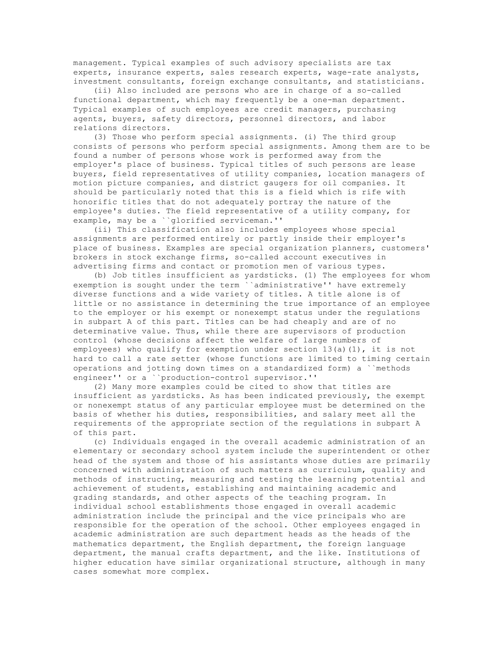management. Typical examples of such advisory specialists are tax experts, insurance experts, sales research experts, wage-rate analysts, investment consultants, foreign exchange consultants, and statisticians.

 (ii) Also included are persons who are in charge of a so-called functional department, which may frequently be a one-man department. Typical examples of such employees are credit managers, purchasing agents, buyers, safety directors, personnel directors, and labor relations directors.

 (3) Those who perform special assignments. (i) The third group consists of persons who perform special assignments. Among them are to be found a number of persons whose work is performed away from the employer's place of business. Typical titles of such persons are lease buyers, field representatives of utility companies, location managers of motion picture companies, and district gaugers for oil companies. It should be particularly noted that this is a field which is rife with honorific titles that do not adequately portray the nature of the employee's duties. The field representative of a utility company, for example, may be a ``glorified serviceman.''

 (ii) This classification also includes employees whose special assignments are performed entirely or partly inside their employer's place of business. Examples are special organization planners, customers' brokers in stock exchange firms, so-called account executives in advertising firms and contact or promotion men of various types.

 (b) Job titles insufficient as yardsticks. (1) The employees for whom exemption is sought under the term ``administrative'' have extremely diverse functions and a wide variety of titles. A title alone is of little or no assistance in determining the true importance of an employee to the employer or his exempt or nonexempt status under the regulations in subpart A of this part. Titles can be had cheaply and are of no determinative value. Thus, while there are supervisors of production control (whose decisions affect the welfare of large numbers of employees) who qualify for exemption under section 13(a)(1), it is not hard to call a rate setter (whose functions are limited to timing certain operations and jotting down times on a standardized form) a ``methods engineer'' or a ``production-control supervisor.''

 (2) Many more examples could be cited to show that titles are insufficient as yardsticks. As has been indicated previously, the exempt or nonexempt status of any particular employee must be determined on the basis of whether his duties, responsibilities, and salary meet all the requirements of the appropriate section of the regulations in subpart A of this part.

 (c) Individuals engaged in the overall academic administration of an elementary or secondary school system include the superintendent or other head of the system and those of his assistants whose duties are primarily concerned with administration of such matters as curriculum, quality and methods of instructing, measuring and testing the learning potential and achievement of students, establishing and maintaining academic and grading standards, and other aspects of the teaching program. In individual school establishments those engaged in overall academic administration include the principal and the vice principals who are responsible for the operation of the school. Other employees engaged in academic administration are such department heads as the heads of the mathematics department, the English department, the foreign language department, the manual crafts department, and the like. Institutions of higher education have similar organizational structure, although in many cases somewhat more complex.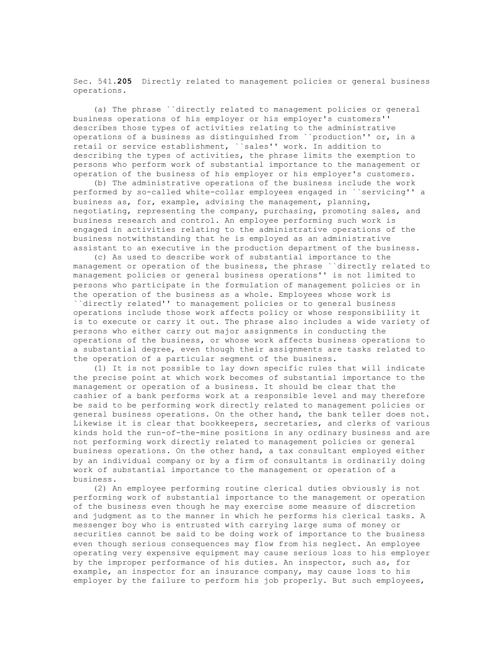Sec. 541.**205** Directly related to management policies or general business operations.

 (a) The phrase ``directly related to management policies or general business operations of his employer or his employer's customers'' describes those types of activities relating to the administrative operations of a business as distinguished from ``production'' or, in a retail or service establishment, ``sales'' work. In addition to describing the types of activities, the phrase limits the exemption to persons who perform work of substantial importance to the management or operation of the business of his employer or his employer's customers.

 (b) The administrative operations of the business include the work performed by so-called white-collar employees engaged in ``servicing'' a business as, for, example, advising the management, planning, negotiating, representing the company, purchasing, promoting sales, and business research and control. An employee performing such work is engaged in activities relating to the administrative operations of the business notwithstanding that he is employed as an administrative assistant to an executive in the production department of the business.

 (c) As used to describe work of substantial importance to the management or operation of the business, the phrase ``directly related to management policies or general business operations'' is not limited to persons who participate in the formulation of management policies or in the operation of the business as a whole. Employees whose work is ``directly related'' to management policies or to general business operations include those work affects policy or whose responsibility it is to execute or carry it out. The phrase also includes a wide variety of persons who either carry out major assignments in conducting the operations of the business, or whose work affects business operations to a substantial degree, even though their assignments are tasks related to the operation of a particular segment of the business.

 (1) It is not possible to lay down specific rules that will indicate the precise point at which work becomes of substantial importance to the management or operation of a business. It should be clear that the cashier of a bank performs work at a responsible level and may therefore be said to be performing work directly related to management policies or general business operations. On the other hand, the bank teller does not. Likewise it is clear that bookkeepers, secretaries, and clerks of various kinds hold the run-of-the-mine positions in any ordinary business and are not performing work directly related to management policies or general business operations. On the other hand, a tax consultant employed either by an individual company or by a firm of consultants is ordinarily doing work of substantial importance to the management or operation of a business.

 (2) An employee performing routine clerical duties obviously is not performing work of substantial importance to the management or operation of the business even though he may exercise some measure of discretion and judgment as to the manner in which he performs his clerical tasks. A messenger boy who is entrusted with carrying large sums of money or securities cannot be said to be doing work of importance to the business even though serious consequences may flow from his neglect. An employee operating very expensive equipment may cause serious loss to his employer by the improper performance of his duties. An inspector, such as, for example, an inspector for an insurance company, may cause loss to his employer by the failure to perform his job properly. But such employees,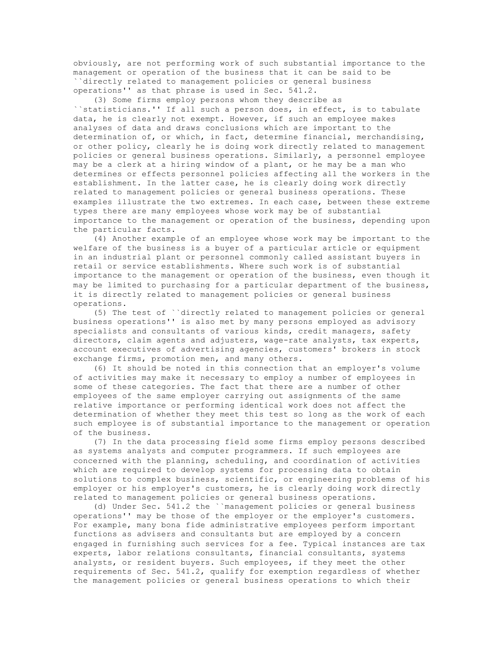obviously, are not performing work of such substantial importance to the management or operation of the business that it can be said to be ``directly related to management policies or general business operations'' as that phrase is used in Sec. 541.2.

 (3) Some firms employ persons whom they describe as ``statisticians.'' If all such a person does, in effect, is to tabulate data, he is clearly not exempt. However, if such an employee makes analyses of data and draws conclusions which are important to the determination of, or which, in fact, determine financial, merchandising, or other policy, clearly he is doing work directly related to management policies or general business operations. Similarly, a personnel employee may be a clerk at a hiring window of a plant, or he may be a man who determines or effects personnel policies affecting all the workers in the establishment. In the latter case, he is clearly doing work directly related to management policies or general business operations. These examples illustrate the two extremes. In each case, between these extreme types there are many employees whose work may be of substantial importance to the management or operation of the business, depending upon the particular facts.

 (4) Another example of an employee whose work may be important to the welfare of the business is a buyer of a particular article or equipment in an industrial plant or personnel commonly called assistant buyers in retail or service establishments. Where such work is of substantial importance to the management or operation of the business, even though it may be limited to purchasing for a particular department of the business, it is directly related to management policies or general business operations.

 (5) The test of ``directly related to management policies or general business operations'' is also met by many persons employed as advisory specialists and consultants of various kinds, credit managers, safety directors, claim agents and adjusters, wage-rate analysts, tax experts, account executives of advertising agencies, customers' brokers in stock exchange firms, promotion men, and many others.

 (6) It should be noted in this connection that an employer's volume of activities may make it necessary to employ a number of employees in some of these categories. The fact that there are a number of other employees of the same employer carrying out assignments of the same relative importance or performing identical work does not affect the determination of whether they meet this test so long as the work of each such employee is of substantial importance to the management or operation of the business.

 (7) In the data processing field some firms employ persons described as systems analysts and computer programmers. If such employees are concerned with the planning, scheduling, and coordination of activities which are required to develop systems for processing data to obtain solutions to complex business, scientific, or engineering problems of his employer or his employer's customers, he is clearly doing work directly related to management policies or general business operations.

 (d) Under Sec. 541.2 the ``management policies or general business operations'' may be those of the employer or the employer's customers. For example, many bona fide administrative employees perform important functions as advisers and consultants but are employed by a concern engaged in furnishing such services for a fee. Typical instances are tax experts, labor relations consultants, financial consultants, systems analysts, or resident buyers. Such employees, if they meet the other requirements of Sec. 541.2, qualify for exemption regardless of whether the management policies or general business operations to which their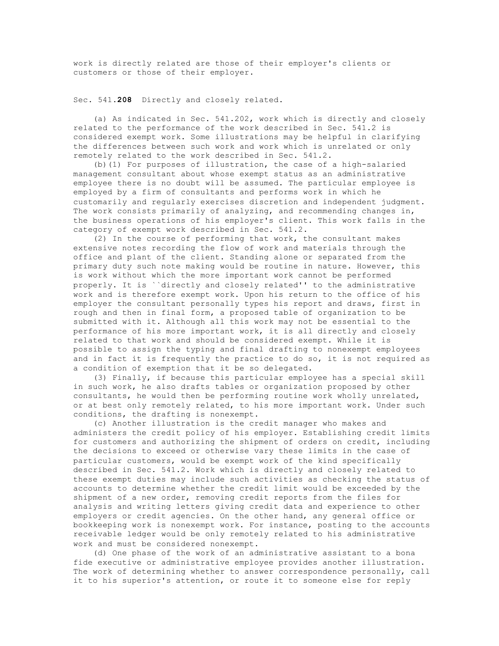work is directly related are those of their employer's clients or customers or those of their employer.

Sec. 541.**208** Directly and closely related.

 (a) As indicated in Sec. 541.202, work which is directly and closely related to the performance of the work described in Sec. 541.2 is considered exempt work. Some illustrations may be helpful in clarifying the differences between such work and work which is unrelated or only remotely related to the work described in Sec. 541.2.

 (b)(1) For purposes of illustration, the case of a high-salaried management consultant about whose exempt status as an administrative employee there is no doubt will be assumed. The particular employee is employed by a firm of consultants and performs work in which he customarily and regularly exercises discretion and independent judgment. The work consists primarily of analyzing, and recommending changes in, the business operations of his employer's client. This work falls in the category of exempt work described in Sec. 541.2.

 (2) In the course of performing that work, the consultant makes extensive notes recording the flow of work and materials through the office and plant of the client. Standing alone or separated from the primary duty such note making would be routine in nature. However, this is work without which the more important work cannot be performed properly. It is ``directly and closely related'' to the administrative work and is therefore exempt work. Upon his return to the office of his employer the consultant personally types his report and draws, first in rough and then in final form, a proposed table of organization to be submitted with it. Although all this work may not be essential to the performance of his more important work, it is all directly and closely related to that work and should be considered exempt. While it is possible to assign the typing and final drafting to nonexempt employees and in fact it is frequently the practice to do so, it is not required as a condition of exemption that it be so delegated.

 (3) Finally, if because this particular employee has a special skill in such work, he also drafts tables or organization proposed by other consultants, he would then be performing routine work wholly unrelated, or at best only remotely related, to his more important work. Under such conditions, the drafting is nonexempt.

 (c) Another illustration is the credit manager who makes and administers the credit policy of his employer. Establishing credit limits for customers and authorizing the shipment of orders on credit, including the decisions to exceed or otherwise vary these limits in the case of particular customers, would be exempt work of the kind specifically described in Sec. 541.2. Work which is directly and closely related to these exempt duties may include such activities as checking the status of accounts to determine whether the credit limit would be exceeded by the shipment of a new order, removing credit reports from the files for analysis and writing letters giving credit data and experience to other employers or credit agencies. On the other hand, any general office or bookkeeping work is nonexempt work. For instance, posting to the accounts receivable ledger would be only remotely related to his administrative work and must be considered nonexempt.

 (d) One phase of the work of an administrative assistant to a bona fide executive or administrative employee provides another illustration. The work of determining whether to answer correspondence personally, call it to his superior's attention, or route it to someone else for reply